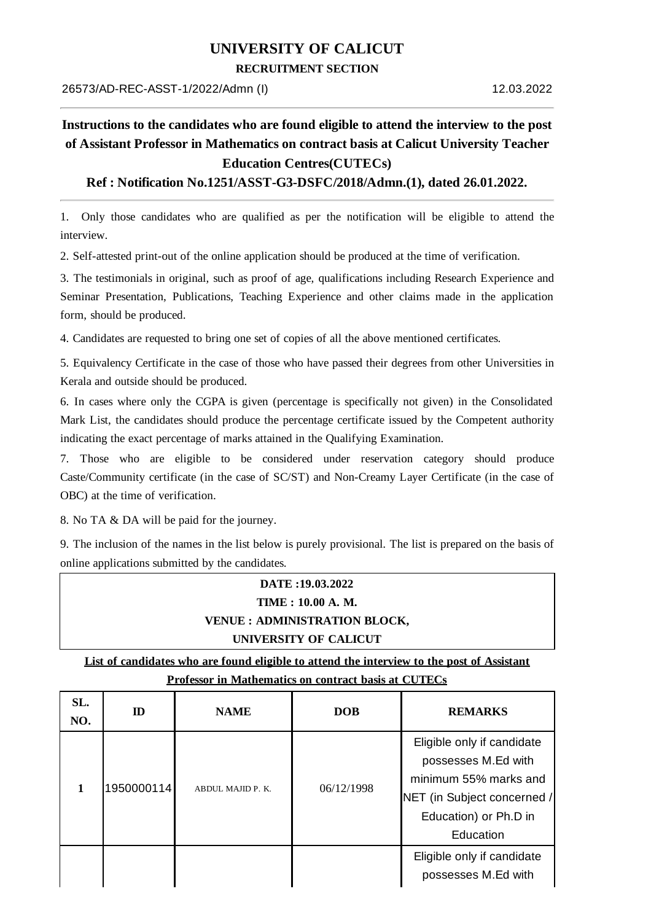### **UNIVERSITY OF CALICUT**

#### **RECRUITMENT SECTION**

# **Instructions to the candidates who are found eligible to attend the interview to the post of Assistant Professor in Mathematics on contract basis at Calicut University Teacher Education Centres(CUTECs)**

### **Ref : Notification No.1251/ASST-G3-DSFC/2018/Admn.(1), dated 26.01.2022.**

1. Only those candidates who are qualified as per the notification will be eligible to attend the interview.

2. Self-attested print-out of the online application should be produced at the time of verification.

3. The testimonials in original, such as proof of age, qualifications including Research Experience and Seminar Presentation, Publications, Teaching Experience and other claims made in the application form, should be produced.

4. Candidates are requested to bring one set of copies of all the above mentioned certificates.

5. Equivalency Certificate in the case of those who have passed their degrees from other Universities in Kerala and outside should be produced.

6. In cases where only the CGPA is given (percentage is specifically not given) in the Consolidated Mark List, the candidates should produce the percentage certificate issued by the Competent authority indicating the exact percentage of marks attained in the Qualifying Examination.

7. Those who are eligible to be considered under reservation category should produce Caste/Community certificate (in the case of SC/ST) and Non-Creamy Layer Certificate (in the case of OBC) at the time of verification.

8. No TA & DA will be paid for the journey.

9. The inclusion of the names in the list below is purely provisional. The list is prepared on the basis of online applications submitted by the candidates.

## **DATE :19.03.2022 TIME : 10.00 A. M. VENUE : ADMINISTRATION BLOCK, UNIVERSITY OF CALICUT**

**List of candidates who are found eligible to attend the interview to the post of Assistant Professor in Mathematics on contract basis at CUTECs**

| SL.<br>NO. | ID         | <b>NAME</b>       | <b>DOB</b> | <b>REMARKS</b>                                                                                                                                  |
|------------|------------|-------------------|------------|-------------------------------------------------------------------------------------------------------------------------------------------------|
|            | 1950000114 | ABDUL MAJID P. K. | 06/12/1998 | Eligible only if candidate<br>possesses M.Ed with<br>minimum 55% marks and<br>NET (in Subject concerned /<br>Education) or Ph.D in<br>Education |
|            |            |                   |            | Eligible only if candidate<br>possesses M.Ed with                                                                                               |